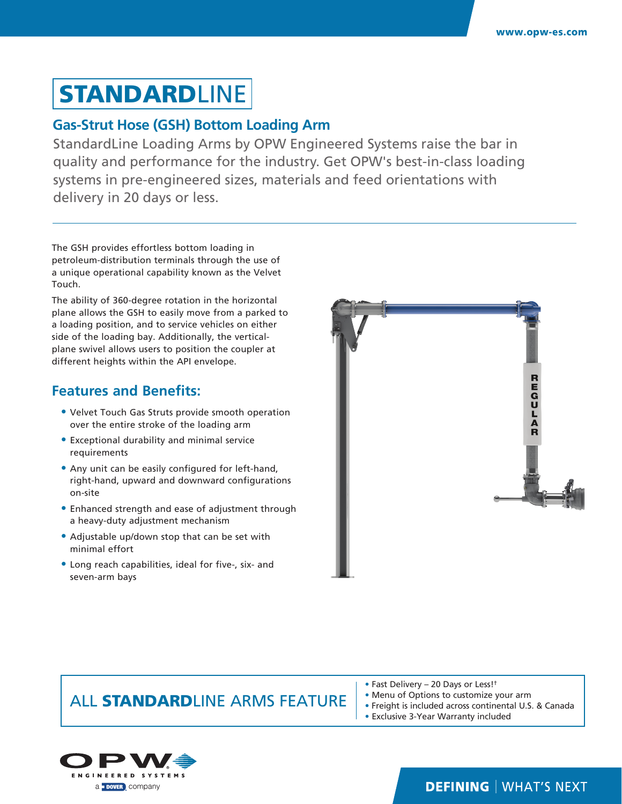# **STANDARDLINE**

#### **Gas-Strut Hose (GSH) Bottom Loading Arm**

StandardLine Loading Arms by OPW Engineered Systems raise the bar in quality and performance for the industry. Get OPW's best-in-class loading systems in pre-engineered sizes, materials and feed orientations with delivery in 20 days or less.

The GSH provides effortless bottom loading in petroleum-distribution terminals through the use of a unique operational capability known as the Velvet Touch.

The ability of 360-degree rotation in the horizontal plane allows the GSH to easily move from a parked to a loading position, and to service vehicles on either side of the loading bay. Additionally, the verticalplane swivel allows users to position the coupler at different heights within the API envelope.

#### **Features and Benefits:**

- **•** Velvet Touch Gas Struts provide smooth operation over the entire stroke of the loading arm
- **•** Exceptional durability and minimal service requirements
- **•** Any unit can be easily configured for left-hand, right-hand, upward and downward configurations on-site
- **•** Enhanced strength and ease of adjustment through a heavy-duty adjustment mechanism
- **•** Adjustable up/down stop that can be set with minimal effort
- **•** Long reach capabilities, ideal for five-, six- and seven-arm bays



### ALL STANDARDLINE ARMS FEATURE

- Fast Delivery 20 Days or Less!†
- Menu of Options to customize your arm
- Freight is included across continental U.S. & Canada
- Exclusive 3-Year Warranty included



### **DEFINING | WHAT'S NEXT**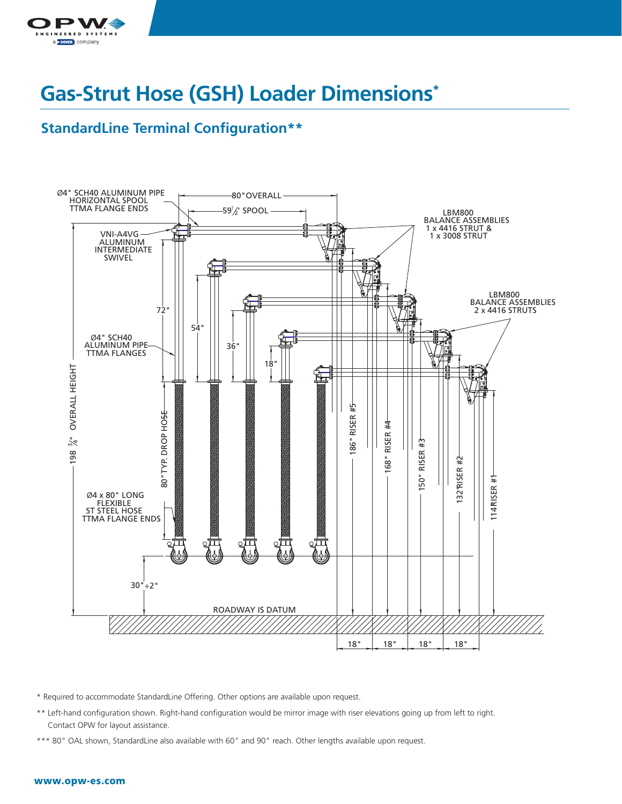

# **Gas-Strut Hose (GSH) Loader Dimensions\***

#### **StandardLine Terminal Configuration\*\***



\* Required to accommodate StandardLine Offering. Other options are available upon request.

- \*\* Left-hand configuration shown. Right-hand configuration would be mirror image with riser elevations going up from left to right. Contact OPW for layout assistance.
- \*\*\* 80" OAL shown, StandardLine also available with 60" and 90" reach. Other lengths available upon request.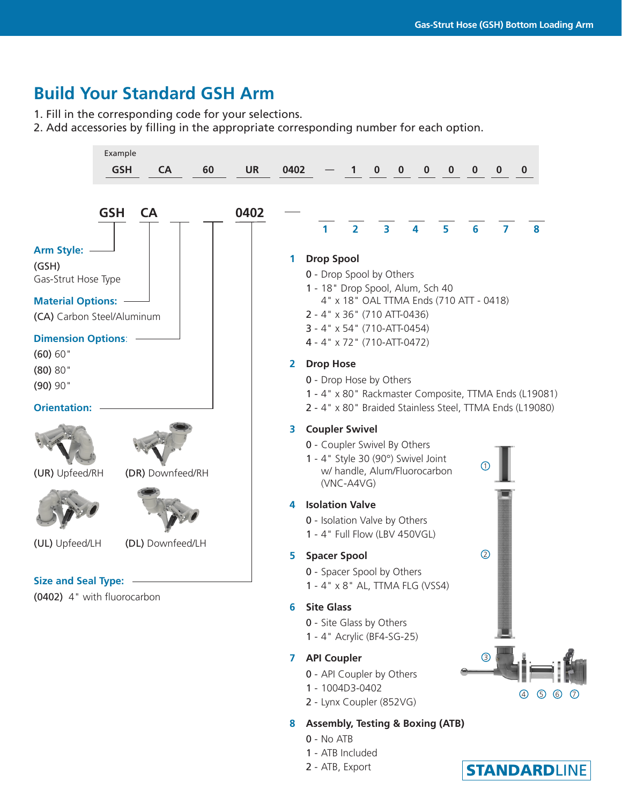## **Build Your Standard GSH Arm**

1. Fill in the corresponding code for your selections.

2. Add accessories by filling in the appropriate corresponding number for each option.



- 1 1004D3-0402
- 2 Lynx Coupler (852VG)

#### **8 Assembly, Testing & Boxing (ATB)**

- 0 No ATB
- 1 ATB Included
- 2 ATB, Export



(4) (5) (6)